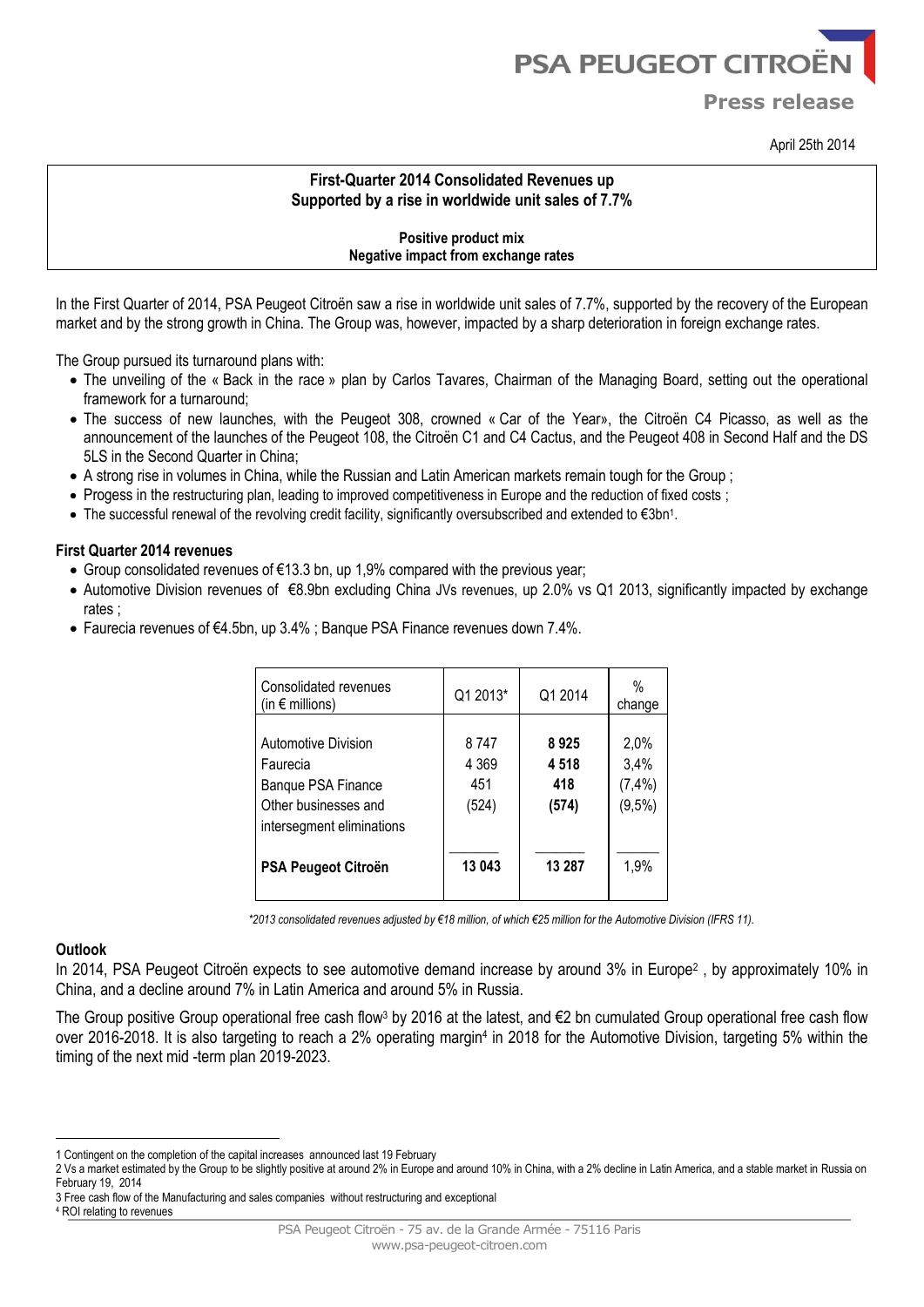# **PSA PEUGEOT CITROËI**

**Press release**

April 25th 2014

# **First-Quarter 2014 Consolidated Revenues up Supported by a rise in worldwide unit sales of 7.7%**

### **Positive product mix Negative impact from exchange rates**

In the First Quarter of 2014, PSA Peugeot Citroën saw a rise in worldwide unit sales of 7.7%, supported by the recovery of the European market and by the strong growth in China. The Group was, however, impacted by a sharp deterioration in foreign exchange rates.

The Group pursued its turnaround plans with:

- The unveiling of the « Back in the race » plan by Carlos Tavares, Chairman of the Managing Board, setting out the operational framework for a turnaround;
- The success of new launches, with the Peugeot 308, crowned « Car of the Year», the Citroën C4 Picasso, as well as the announcement of the launches of the Peugeot 108, the Citroën C1 and C4 Cactus, and the Peugeot 408 in Second Half and the DS 5LS in the Second Quarter in China;
- A strong rise in volumes in China, while the Russian and Latin American markets remain tough for the Group ;
- Progess in the restructuring plan, leading to improved competitiveness in Europe and the reduction of fixed costs;
- The successful renewal of the revolving credit facility, significantly oversubscribed and extended to €3bn<sup>1</sup> .

#### **First Quarter 2014 revenues**

- Group consolidated revenues of  $\epsilon$ 13.3 bn, up 1,9% compared with the previous year;
- Automotive Division revenues of €8.9bn excluding China JVs revenues, up 2.0% vs Q1 2013, significantly impacted by exchange rates ;
- Faurecia revenues of €4.5bn, up 3.4% ; Banque PSA Finance revenues down 7.4%.

| Consolidated revenues<br>(in $\epsilon$ millions)                                                          | Q1 2013*                        | Q1 2014                      | %<br>change                          |
|------------------------------------------------------------------------------------------------------------|---------------------------------|------------------------------|--------------------------------------|
| Automotive Division<br>Faurecia<br>Banque PSA Finance<br>Other businesses and<br>intersegment eliminations | 8747<br>4 3 6 9<br>451<br>(524) | 8925<br>4518<br>418<br>(574) | 2,0%<br>3,4%<br>$(7, 4\%)$<br>(9,5%) |
| PSA Peugeot Citroën                                                                                        | 13 043                          | 13 287                       | 1,9%                                 |

*\*2013 consolidated revenues adjusted by €18 million, of which €25 million for the Automotive Division (IFRS 11).*

#### **Outlook**

<u>.</u>

In 2014, PSA Peugeot Citroën expects to see automotive demand increase by around 3% in Europe<sup>2</sup>, by approximately 10% in China, and a decline around 7% in Latin America and around 5% in Russia.

The Group positive Group operational free cash flow3 by 2016 at the latest, and  $\epsilon$ 2 bn cumulated Group operational free cash flow over 2016-2018. It is also targeting to reach a 2% operating margin<sup>4</sup> in 2018 for the Automotive Division, targeting 5% within the timing of the next mid -term plan 2019-2023.

<sup>1</sup> Contingent on the completion of the capital increases announced last 19 February

<sup>2</sup> Vs a market estimated by the Group to be slightly positive at around 2% in Europe and around 10% in China, with a 2% decline in Latin America, and a stable market in Russia on February 19, 2014

<sup>3</sup> Free cash flow of the Manufacturing and sales companies without restructuring and exceptional

<sup>4</sup> ROI relating to revenues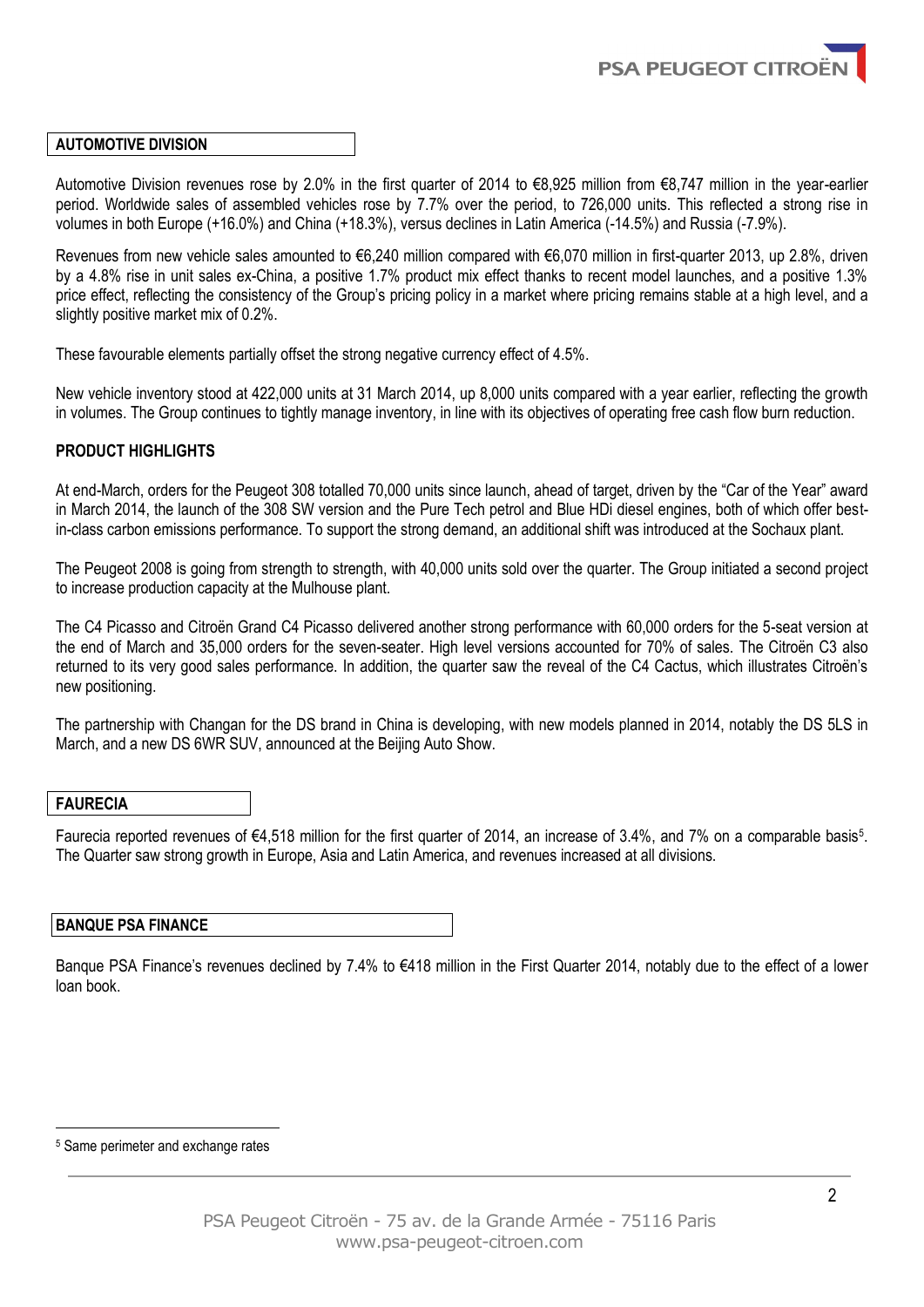

#### **AUTOMOTIVE DIVISION**

Automotive Division revenues rose by 2.0% in the first quarter of 2014 to €8,925 million from €8,747 million in the year-earlier period. Worldwide sales of assembled vehicles rose by 7.7% over the period, to 726,000 units. This reflected a strong rise in volumes in both Europe (+16.0%) and China (+18.3%), versus declines in Latin America (-14.5%) and Russia (-7.9%).

Revenues from new vehicle sales amounted to €6,240 million compared with €6,070 million in first-quarter 2013, up 2.8%, driven by a 4.8% rise in unit sales ex-China, a positive 1.7% product mix effect thanks to recent model launches, and a positive 1.3% price effect, reflecting the consistency of the Group's pricing policy in a market where pricing remains stable at a high level, and a slightly positive market mix of 0.2%.

These favourable elements partially offset the strong negative currency effect of 4.5%.

New vehicle inventory stood at 422,000 units at 31 March 2014, up 8,000 units compared with a year earlier, reflecting the growth in volumes. The Group continues to tightly manage inventory, in line with its objectives of operating free cash flow burn reduction.

## **PRODUCT HIGHLIGHTS**

At end-March, orders for the Peugeot 308 totalled 70,000 units since launch, ahead of target, driven by the "Car of the Year" award in March 2014, the launch of the 308 SW version and the Pure Tech petrol and Blue HDi diesel engines, both of which offer bestin-class carbon emissions performance. To support the strong demand, an additional shift was introduced at the Sochaux plant.

The Peugeot 2008 is going from strength to strength, with 40,000 units sold over the quarter. The Group initiated a second project to increase production capacity at the Mulhouse plant.

The C4 Picasso and Citroën Grand C4 Picasso delivered another strong performance with 60,000 orders for the 5-seat version at the end of March and 35,000 orders for the seven-seater. High level versions accounted for 70% of sales. The Citroën C3 also returned to its very good sales performance. In addition, the quarter saw the reveal of the C4 Cactus, which illustrates Citroën's new positioning.

The partnership with Changan for the DS brand in China is developing, with new models planned in 2014, notably the DS 5LS in March, and a new DS 6WR SUV, announced at the Beijing Auto Show.

#### **FAURECIA**

1

Faurecia reported revenues of €4,518 million for the first quarter of 2014, an increase of 3.4%, and 7% on a comparable basis<sup>5</sup>. The Quarter saw strong growth in Europe, Asia and Latin America, and revenues increased at all divisions.

# **BANQUE PSA FINANCE**

Banque PSA Finance's revenues declined by 7.4% to €418 million in the First Quarter 2014, notably due to the effect of a lower loan book.

<sup>5</sup> Same perimeter and exchange rates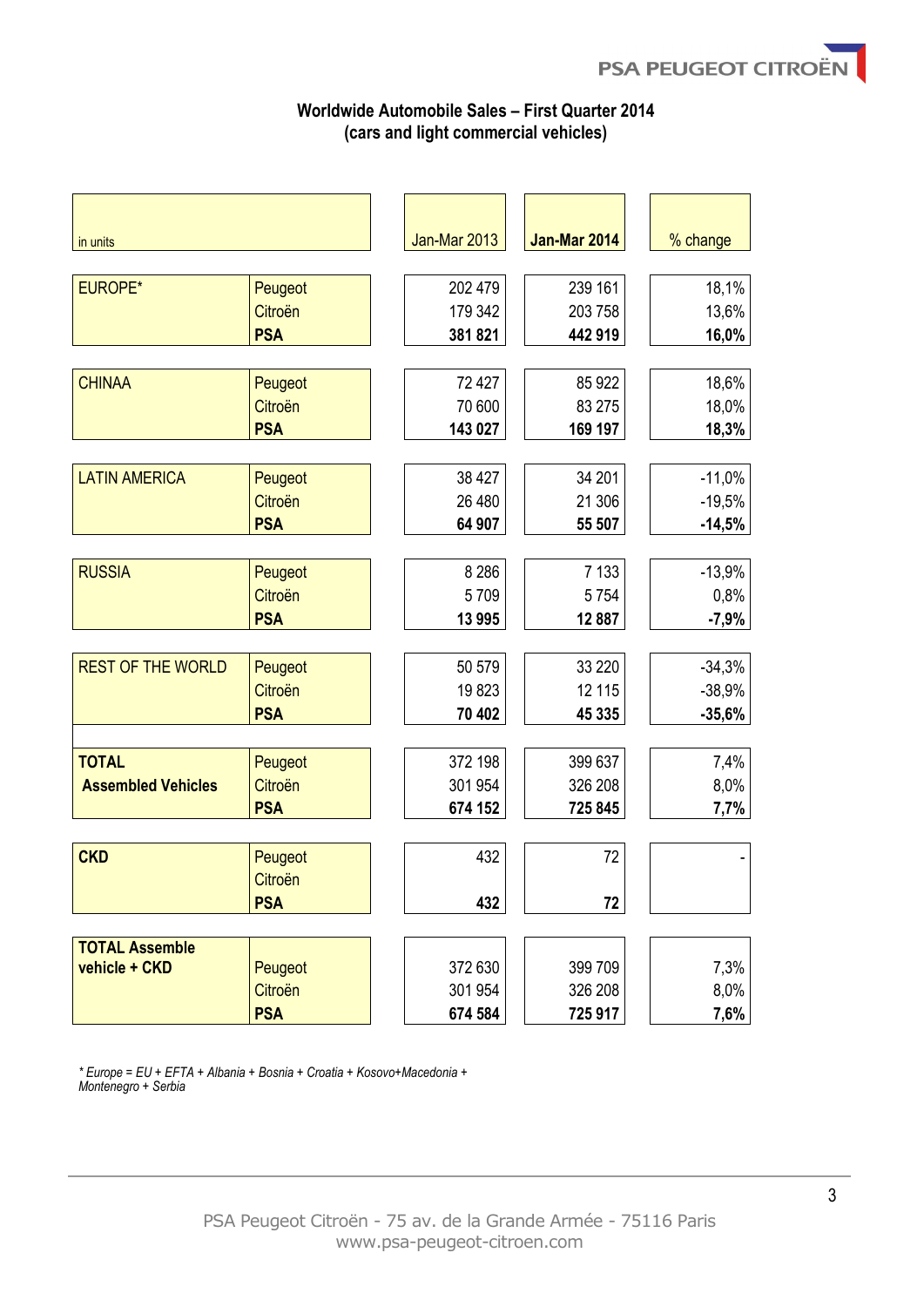# **Worldwide Automobile Sales – First Quarter 2014 (cars and light commercial vehicles)**

| in units                  |            | Jan-Mar 2013 | <b>Jan-Mar 2014</b> | % change |
|---------------------------|------------|--------------|---------------------|----------|
|                           |            |              |                     |          |
| <b>EUROPE*</b>            | Peugeot    | 202 479      | 239 161             | 18,1%    |
|                           | Citroën    | 179 342      | 203 758             | 13,6%    |
|                           | <b>PSA</b> | 381821       | 442 919             | 16,0%    |
| <b>CHINAA</b>             | Peugeot    | 72 427       | 85 922              | 18,6%    |
|                           | Citroën    | 70 600       | 83 275              | 18,0%    |
|                           | <b>PSA</b> | 143 027      | 169 197             | 18,3%    |
|                           |            |              |                     |          |
| <b>LATIN AMERICA</b>      | Peugeot    | 38 4 27      | 34 201              | $-11,0%$ |
|                           | Citroën    | 26 480       | 21 30 6             | $-19,5%$ |
|                           | <b>PSA</b> | 64 907       | 55 507              | $-14,5%$ |
|                           |            |              |                     |          |
| <b>RUSSIA</b>             | Peugeot    | 8 2 8 6      | 7 1 3 3             | $-13,9%$ |
|                           | Citroën    | 5709         | 5754                | 0,8%     |
|                           | <b>PSA</b> | 13 995       | 12 887              | $-7,9%$  |
|                           |            |              |                     |          |
| <b>REST OF THE WORLD</b>  | Peugeot    | 50 579       | 33 2 20             | $-34,3%$ |
|                           | Citroën    | 19823        | 12 115              | $-38,9%$ |
|                           | <b>PSA</b> | 70 402       | 45 335              | $-35,6%$ |
|                           |            |              |                     |          |
| <b>TOTAL</b>              | Peugeot    | 372 198      | 399 637             | 7,4%     |
| <b>Assembled Vehicles</b> | Citroën    | 301 954      | 326 208             | 8,0%     |
|                           | <b>PSA</b> | 674 152      | 725 845             | 7,7%     |
|                           |            |              |                     |          |
| <b>CKD</b>                | Peugeot    | 432          | 72                  |          |
|                           | Citroën    |              |                     |          |
|                           | <b>PSA</b> | 432          | 72                  |          |
| <b>TOTAL Assemble</b>     |            |              |                     |          |
| vehicle + CKD             | Peugeot    | 372 630      | 399 709             | 7,3%     |
|                           | Citroën    | 301 954      | 326 208             | 8,0%     |
|                           | <b>PSA</b> | 674 584      | 725 917             | 7,6%     |

*\* Europe = EU + EFTA + Albania + Bosnia + Croatia + Kosovo+Macedonia + Montenegro + Serbia*